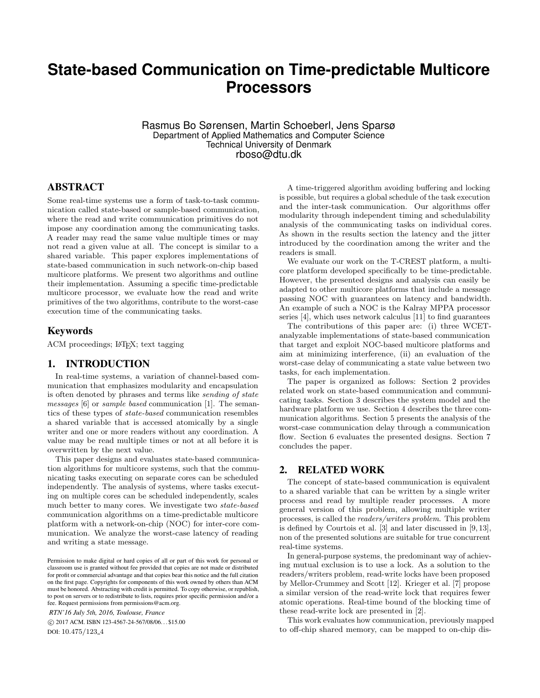# **State-based Communication on Time-predictable Multicore Processors**

Rasmus Bo Sørensen, Martin Schoeberl, Jens Sparsø Department of Applied Mathematics and Computer Science Technical University of Denmark rboso@dtu.dk

# ABSTRACT

Some real-time systems use a form of task-to-task communication called state-based or sample-based communication, where the read and write communication primitives do not impose any coordination among the communicating tasks. A reader may read the same value multiple times or may not read a given value at all. The concept is similar to a shared variable. This paper explores implementations of state-based communication in such network-on-chip based multicore platforms. We present two algorithms and outline their implementation. Assuming a specific time-predictable multicore processor, we evaluate how the read and write primitives of the two algorithms, contribute to the worst-case execution time of the communicating tasks.

# Keywords

ACM proceedings; L<sup>AT</sup>FX; text tagging

### 1. INTRODUCTION

In real-time systems, a variation of channel-based communication that emphasizes modularity and encapsulation is often denoted by phrases and terms like sending of state messages [6] or sample based communication [1]. The semantics of these types of state-based communication resembles a shared variable that is accessed atomically by a single writer and one or more readers without any coordination. A value may be read multiple times or not at all before it is overwritten by the next value.

This paper designs and evaluates state-based communication algorithms for multicore systems, such that the communicating tasks executing on separate cores can be scheduled independently. The analysis of systems, where tasks executing on multiple cores can be scheduled independently, scales much better to many cores. We investigate two state-based communication algorithms on a time-predictable multicore platform with a network-on-chip (NOC) for inter-core communication. We analyze the worst-case latency of reading and writing a state message.

*RTN'16 July 5th, 2016, Toulouse, France*

 c 2017 ACM. ISBN 123-4567-24-567/08/06. . . \$15.00 DOI: 10.475/123<sub>-4</sub>

A time-triggered algorithm avoiding buffering and locking is possible, but requires a global schedule of the task execution and the inter-task communication. Our algorithms offer modularity through independent timing and schedulability analysis of the communicating tasks on individual cores. As shown in the results section the latency and the jitter introduced by the coordination among the writer and the readers is small.

We evaluate our work on the T-CREST platform, a multicore platform developed specifically to be time-predictable. However, the presented designs and analysis can easily be adapted to other multicore platforms that include a message passing NOC with guarantees on latency and bandwidth. An example of such a NOC is the Kalray MPPA processor series [4], which uses network calculus [11] to find guarantees

The contributions of this paper are: (i) three WCETanalyzable implementations of state-based communication that target and exploit NOC-based multicore platforms and aim at minimizing interference, (ii) an evaluation of the worst-case delay of communicating a state value between two tasks, for each implementation.

The paper is organized as follows: Section 2 provides related work on state-based communication and communicating tasks. Section 3 describes the system model and the hardware platform we use. Section 4 describes the three communication algorithms. Section 5 presents the analysis of the worst-case communication delay through a communication flow. Section 6 evaluates the presented designs. Section 7 concludes the paper.

# 2. RELATED WORK

The concept of state-based communication is equivalent to a shared variable that can be written by a single writer process and read by multiple reader processes. A more general version of this problem, allowing multiple writer processes, is called the readers/writers problem. This problem is defined by Courtois et al. [3] and later discussed in [9, 13], non of the presented solutions are suitable for true concurrent real-time systems.

In general-purpose systems, the predominant way of achieving mutual exclusion is to use a lock. As a solution to the readers/writers problem, read-write locks have been proposed by Mellor-Crummey and Scott [12]. Krieger et al. [7] propose a similar version of the read-write lock that requires fewer atomic operations. Real-time bound of the blocking time of these read-write lock are presented in [2].

This work evaluates how communication, previously mapped to off-chip shared memory, can be mapped to on-chip dis-

Permission to make digital or hard copies of all or part of this work for personal or classroom use is granted without fee provided that copies are not made or distributed for profit or commercial advantage and that copies bear this notice and the full citation on the first page. Copyrights for components of this work owned by others than ACM must be honored. Abstracting with credit is permitted. To copy otherwise, or republish, to post on servers or to redistribute to lists, requires prior specific permission and/or a fee. Request permissions from permissions@acm.org.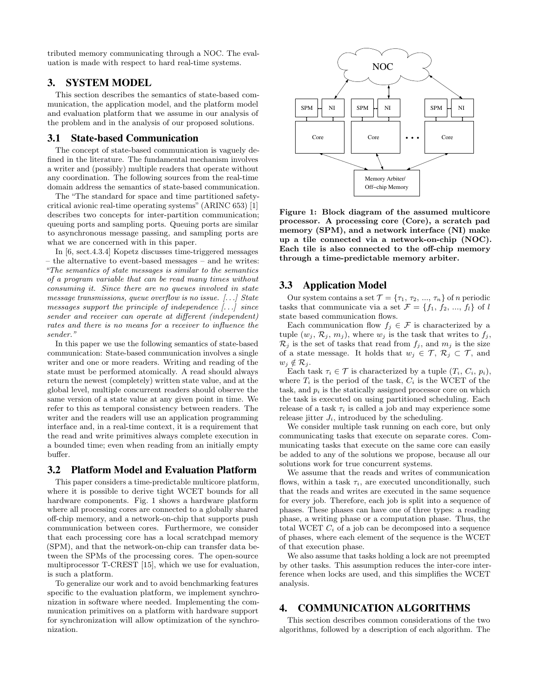tributed memory communicating through a NOC. The evaluation is made with respect to hard real-time systems.

# 3. SYSTEM MODEL

This section describes the semantics of state-based communication, the application model, and the platform model and evaluation platform that we assume in our analysis of the problem and in the analysis of our proposed solutions.

### 3.1 State-based Communication

The concept of state-based communication is vaguely defined in the literature. The fundamental mechanism involves a writer and (possibly) multiple readers that operate without any coordination. The following sources from the real-time domain address the semantics of state-based communication.

The "The standard for space and time partitioned safetycritical avionic real-time operating systems" (ARINC 653) [1] describes two concepts for inter-partition communication; queuing ports and sampling ports. Queuing ports are similar to asynchronous message passing, and sampling ports are what we are concerned with in this paper.

In [6, sect.4.3.4] Kopetz discusses time-triggered messages – the alternative to event-based messages – and he writes: "The semantics of state messages is similar to the semantics of a program variable that can be read many times without consuming it. Since there are no queues involved in state message transmissions, queue overflow is no issue. [. . .] State messages support the principle of independence [. . .] since sender and receiver can operate at different (independent) rates and there is no means for a receiver to influence the sender."

In this paper we use the following semantics of state-based communication: State-based communication involves a single writer and one or more readers. Writing and reading of the state must be performed atomically. A read should always return the newest (completely) written state value, and at the global level, multiple concurrent readers should observe the same version of a state value at any given point in time. We refer to this as temporal consistency between readers. The writer and the readers will use an application programming interface and, in a real-time context, it is a requirement that the read and write primitives always complete execution in a bounded time; even when reading from an initially empty buffer.

### 3.2 Platform Model and Evaluation Platform

This paper considers a time-predictable multicore platform, where it is possible to derive tight WCET bounds for all hardware components. Fig. 1 shows a hardware platform where all processing cores are connected to a globally shared off-chip memory, and a network-on-chip that supports push communication between cores. Furthermore, we consider that each processing core has a local scratchpad memory (SPM), and that the network-on-chip can transfer data between the SPMs of the processing cores. The open-source multiprocessor T-CREST [15], which we use for evaluation, is such a platform.

To generalize our work and to avoid benchmarking features specific to the evaluation platform, we implement synchronization in software where needed. Implementing the communication primitives on a platform with hardware support for synchronization will allow optimization of the synchronization.



Figure 1: Block diagram of the assumed multicore processor. A processing core (Core), a scratch pad memory (SPM), and a network interface (NI) make up a tile connected via a network-on-chip (NOC). Each tile is also connected to the off-chip memory through a time-predictable memory arbiter.

# 3.3 Application Model

Our system contains a set  $\mathcal{T} = {\tau_1, \tau_2, ..., \tau_n}$  of *n* periodic tasks that communicate via a set  $\mathcal{F} = \{f_1, f_2, ..., f_l\}$  of l state based communication flows.

Each communication flow  $f_i \in \mathcal{F}$  is characterized by a tuple  $(w_j, \mathcal{R}_j, m_j)$ , where  $w_j$  is the task that writes to  $f_j$ ,  $\mathcal{R}_j$  is the set of tasks that read from  $f_j$ , and  $m_j$  is the size of a state message. It holds that  $w_j \in \mathcal{T}, \mathcal{R}_j \subset \mathcal{T}$ , and  $w_j \notin \mathcal{R}_j$ .

Each task  $\tau_i \in \mathcal{T}$  is characterized by a tuple  $(T_i, C_i, p_i)$ , where  $T_i$  is the period of the task,  $C_i$  is the WCET of the task, and  $p_i$  is the statically assigned processor core on which the task is executed on using partitioned scheduling. Each release of a task  $\tau_i$  is called a job and may experience some release jitter  $J_i$ , introduced by the scheduling.

We consider multiple task running on each core, but only communicating tasks that execute on separate cores. Communicating tasks that execute on the same core can easily be added to any of the solutions we propose, because all our solutions work for true concurrent systems.

We assume that the reads and writes of communication flows, within a task  $\tau_i$ , are executed unconditionally, such that the reads and writes are executed in the same sequence for every job. Therefore, each job is split into a sequence of phases. These phases can have one of three types: a reading phase, a writing phase or a computation phase. Thus, the total WCET  $C_i$  of a job can be decomposed into a sequence of phases, where each element of the sequence is the WCET of that execution phase.

We also assume that tasks holding a lock are not preempted by other tasks. This assumption reduces the inter-core interference when locks are used, and this simplifies the WCET analysis.

# 4. COMMUNICATION ALGORITHMS

This section describes common considerations of the two algorithms, followed by a description of each algorithm. The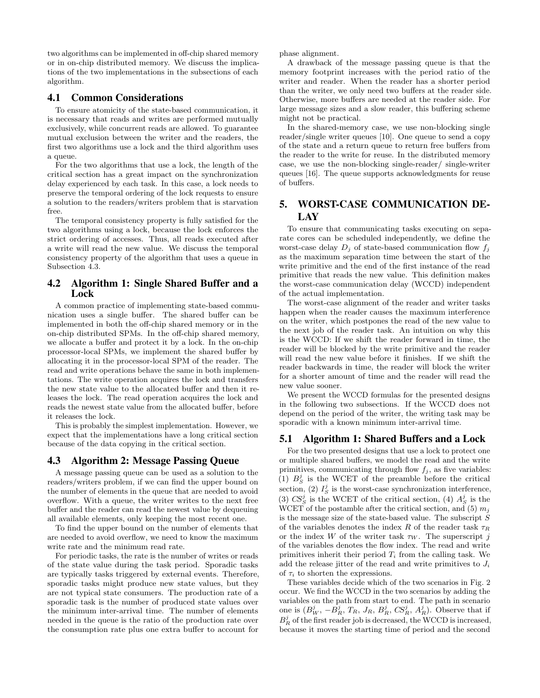two algorithms can be implemented in off-chip shared memory or in on-chip distributed memory. We discuss the implications of the two implementations in the subsections of each algorithm.

### 4.1 Common Considerations

To ensure atomicity of the state-based communication, it is necessary that reads and writes are performed mutually exclusively, while concurrent reads are allowed. To guarantee mutual exclusion between the writer and the readers, the first two algorithms use a lock and the third algorithm uses a queue.

For the two algorithms that use a lock, the length of the critical section has a great impact on the synchronization delay experienced by each task. In this case, a lock needs to preserve the temporal ordering of the lock requests to ensure a solution to the readers/writers problem that is starvation free.

The temporal consistency property is fully satisfied for the two algorithms using a lock, because the lock enforces the strict ordering of accesses. Thus, all reads executed after a write will read the new value. We discuss the temporal consistency property of the algorithm that uses a queue in Subsection 4.3.

## 4.2 Algorithm 1: Single Shared Buffer and a Lock

A common practice of implementing state-based communication uses a single buffer. The shared buffer can be implemented in both the off-chip shared memory or in the on-chip distributed SPMs. In the off-chip shared memory, we allocate a buffer and protect it by a lock. In the on-chip processor-local SPMs, we implement the shared buffer by allocating it in the processor-local SPM of the reader. The read and write operations behave the same in both implementations. The write operation acquires the lock and transfers the new state value to the allocated buffer and then it releases the lock. The read operation acquires the lock and reads the newest state value from the allocated buffer, before it releases the lock.

This is probably the simplest implementation. However, we expect that the implementations have a long critical section because of the data copying in the critical section.

### 4.3 Algorithm 2: Message Passing Queue

A message passing queue can be used as a solution to the readers/writers problem, if we can find the upper bound on the number of elements in the queue that are needed to avoid overflow. With a queue, the writer writes to the next free buffer and the reader can read the newest value by dequeuing all available elements, only keeping the most recent one.

To find the upper bound on the number of elements that are needed to avoid overflow, we need to know the maximum write rate and the minimum read rate.

For periodic tasks, the rate is the number of writes or reads of the state value during the task period. Sporadic tasks are typically tasks triggered by external events. Therefore, sporadic tasks might produce new state values, but they are not typical state consumers. The production rate of a sporadic task is the number of produced state values over the minimum inter-arrival time. The number of elements needed in the queue is the ratio of the production rate over the consumption rate plus one extra buffer to account for

phase alignment.

A drawback of the message passing queue is that the memory footprint increases with the period ratio of the writer and reader. When the reader has a shorter period than the writer, we only need two buffers at the reader side. Otherwise, more buffers are needed at the reader side. For large message sizes and a slow reader, this buffering scheme might not be practical.

In the shared-memory case, we use non-blocking single reader/single writer queues [10]. One queue to send a copy of the state and a return queue to return free buffers from the reader to the write for reuse. In the distributed memory case, we use the non-blocking single-reader/ single-writer queues [16]. The queue supports acknowledgments for reuse of buffers.

# 5. WORST-CASE COMMUNICATION DE-LAY

To ensure that communicating tasks executing on separate cores can be scheduled independently, we define the worst-case delay  $D_j$  of state-based communication flow  $f_j$ as the maximum separation time between the start of the write primitive and the end of the first instance of the read primitive that reads the new value. This definition makes the worst-case communication delay (WCCD) independent of the actual implementation.

The worst-case alignment of the reader and writer tasks happen when the reader causes the maximum interference on the writer, which postpones the read of the new value to the next job of the reader task. An intuition on why this is the WCCD: If we shift the reader forward in time, the reader will be blocked by the write primitive and the reader will read the new value before it finishes. If we shift the reader backwards in time, the reader will block the writer for a shorter amount of time and the reader will read the new value sooner.

We present the WCCD formulas for the presented designs in the following two subsections. If the WCCD does not depend on the period of the writer, the writing task may be sporadic with a known minimum inter-arrival time.

### 5.1 Algorithm 1: Shared Buffers and a Lock

For the two presented designs that use a lock to protect one or multiple shared buffers, we model the read and the write primitives, communicating through flow  $f_j$ , as five variables: (1)  $B_S^j$  is the WCET of the preamble before the critical section, (2)  $I_S^j$  is the worst-case synchronization interference, (3)  $CS_S^j$  is the WCET of the critical section, (4)  $A_S^j$  is the WCET of the postamble after the critical section, and (5)  $m_j$ is the message size of the state-based value. The subscript  $S$ of the variables denotes the index R of the reader task  $\tau_R$ or the index W of the writer task  $\tau_W$ . The superscript j of the variables denotes the flow index. The read and write primitives inherit their period  $T_i$  from the calling task. We add the release jitter of the read and write primitives to  $J_i$ of  $\tau_i$  to shorten the expressions.

These variables decide which of the two scenarios in Fig. 2 occur. We find the WCCD in the two scenarios by adding the variables on the path from start to end. The path in scenario one is  $(B_W^j, -\tilde{B_R^j}, T_R, J_R, B_R^j, C S_R^j, A_R^j)$ . Observe that if  $B_R^j$  of the first reader job is decreased, the WCCD is increased, because it moves the starting time of period and the second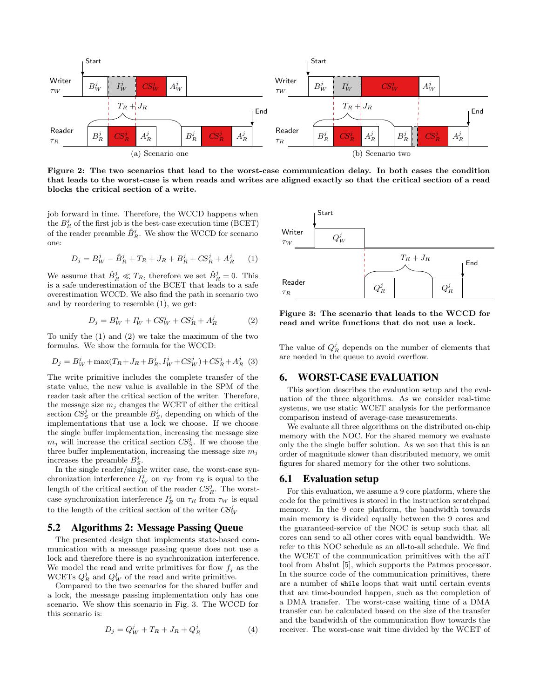

Figure 2: The two scenarios that lead to the worst-case communication delay. In both cases the condition that leads to the worst-case is when reads and writes are aligned exactly so that the critical section of a read blocks the critical section of a write.

job forward in time. Therefore, the WCCD happens when the  $B_R^j$  of the first job is the best-case execution time (BCET) of the reader preamble  $\hat{B}_R^j$ . We show the WCCD for scenario one:

$$
D_j = B_W^j - \hat{B}_R^j + T_R + J_R + B_R^j + CS_R^j + A_R^j \tag{1}
$$

We assume that  $\hat{B}_R^j \ll T_R$ , therefore we set  $\hat{B}_R^j = 0$ . This is a safe underestimation of the BCET that leads to a safe overestimation WCCD. We also find the path in scenario two and by reordering to resemble (1), we get:

$$
D_j = B_W^j + I_W^j + CS_W^j + CS_R^j + A_R^j \tag{2}
$$

To unify the (1) and (2) we take the maximum of the two formulas. We show the formula for the WCCD:

$$
D_j = B_W^j + \max(T_R + J_R + B_R^j, I_W^j + CS_W^j) + CS_R^j + A_R^j
$$
 (3)

The write primitive includes the complete transfer of the state value, the new value is available in the SPM of the reader task after the critical section of the writer. Therefore, the message size  $m_j$  changes the WCET of either the critical section  $\overline{CS}^j_S$  or the preamble  $B^j_S$ , depending on which of the implementations that use a lock we choose. If we choose the single buffer implementation, increasing the message size  $m_j$  will increase the critical section  $CS_S^j$ . If we choose the three buffer implementation, increasing the message size  $m_j$ increases the preamble  $B_S^j$ .

In the single reader/single writer case, the worst-case synchronization interference  $I_W^j$  on  $\tau_W$  from  $\tau_R$  is equal to the length of the critical section of the reader  $CS_R^j$ . The worstcase synchronization interference  $I_R^j$  on  $\tau_R$  from  $\tau_W$  is equal to the length of the critical section of the writer  $C\!S^j_W$ 

### 5.2 Algorithms 2: Message Passing Queue

The presented design that implements state-based communication with a message passing queue does not use a lock and therefore there is no synchronization interference. We model the read and write primitives for flow  $f_j$  as the WCETs  $Q_R^j$  and  $Q_W^j$  of the read and write primitive.

Compared to the two scenarios for the shared buffer and a lock, the message passing implementation only has one scenario. We show this scenario in Fig. 3. The WCCD for this scenario is:

$$
D_j = Q_W^j + T_R + J_R + Q_R^j \tag{4}
$$



Figure 3: The scenario that leads to the WCCD for read and write functions that do not use a lock.

The value of  $Q_R^j$  depends on the number of elements that are needed in the queue to avoid overflow.

# 6. WORST-CASE EVALUATION

This section describes the evaluation setup and the evaluation of the three algorithms. As we consider real-time systems, we use static WCET analysis for the performance comparison instead of average-case measurements.

We evaluate all three algorithms on the distributed on-chip memory with the NOC. For the shared memory we evaluate only the the single buffer solution. As we see that this is an order of magnitude slower than distributed memory, we omit figures for shared memory for the other two solutions.

#### 6.1 Evaluation setup

For this evaluation, we assume a 9 core platform, where the code for the primitives is stored in the instruction scratchpad memory. In the 9 core platform, the bandwidth towards main memory is divided equally between the 9 cores and the guaranteed-service of the NOC is setup such that all cores can send to all other cores with equal bandwidth. We refer to this NOC schedule as an all-to-all schedule. We find the WCET of the communication primitives with the aiT tool from AbsInt [5], which supports the Patmos processor. In the source code of the communication primitives, there are a number of while loops that wait until certain events that are time-bounded happen, such as the completion of a DMA transfer. The worst-case waiting time of a DMA transfer can be calculated based on the size of the transfer and the bandwidth of the communication flow towards the receiver. The worst-case wait time divided by the WCET of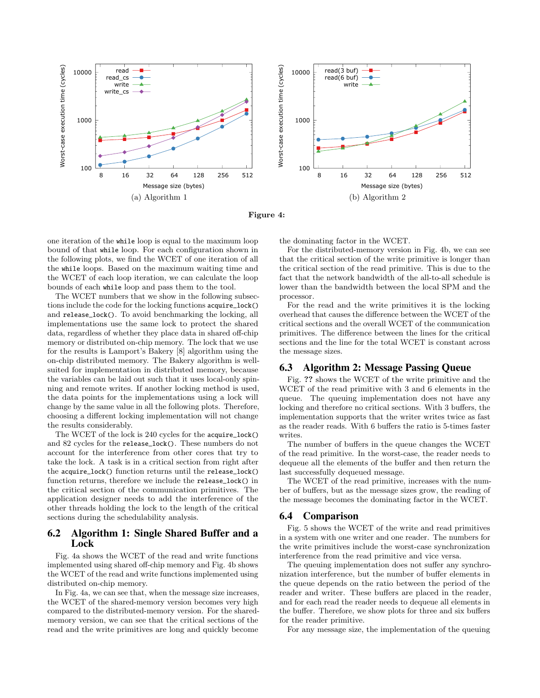

Figure 4:

one iteration of the while loop is equal to the maximum loop bound of that while loop. For each configuration shown in the following plots, we find the WCET of one iteration of all the while loops. Based on the maximum waiting time and the WCET of each loop iteration, we can calculate the loop bounds of each while loop and pass them to the tool.

The WCET numbers that we show in the following subsections include the code for the locking functions acquire\_lock() and release\_lock(). To avoid benchmarking the locking, all implementations use the same lock to protect the shared data, regardless of whether they place data in shared off-chip memory or distributed on-chip memory. The lock that we use for the results is Lamport's Bakery [8] algorithm using the on-chip distributed memory. The Bakery algorithm is wellsuited for implementation in distributed memory, because the variables can be laid out such that it uses local-only spinning and remote writes. If another locking method is used, the data points for the implementations using a lock will change by the same value in all the following plots. Therefore, choosing a different locking implementation will not change the results considerably.

The WCET of the lock is 240 cycles for the acquire\_lock() and 82 cycles for the release\_lock(). These numbers do not account for the interference from other cores that try to take the lock. A task is in a critical section from right after the acquire\_lock() function returns until the release\_lock() function returns, therefore we include the release\_lock() in the critical section of the communication primitives. The application designer needs to add the interference of the other threads holding the lock to the length of the critical sections during the schedulability analysis.

# 6.2 Algorithm 1: Single Shared Buffer and a Lock

Fig. 4a shows the WCET of the read and write functions implemented using shared off-chip memory and Fig. 4b shows the WCET of the read and write functions implemented using distributed on-chip memory.

In Fig. 4a, we can see that, when the message size increases, the WCET of the shared-memory version becomes very high compared to the distributed-memory version. For the sharedmemory version, we can see that the critical sections of the read and the write primitives are long and quickly become

the dominating factor in the WCET.

For the distributed-memory version in Fig. 4b, we can see that the critical section of the write primitive is longer than the critical section of the read primitive. This is due to the fact that the network bandwidth of the all-to-all schedule is lower than the bandwidth between the local SPM and the processor.

For the read and the write primitives it is the locking overhead that causes the difference between the WCET of the critical sections and the overall WCET of the communication primitives. The difference between the lines for the critical sections and the line for the total WCET is constant across the message sizes.

# 6.3 Algorithm 2: Message Passing Queue

Fig. ?? shows the WCET of the write primitive and the WCET of the read primitive with 3 and 6 elements in the queue. The queuing implementation does not have any locking and therefore no critical sections. With 3 buffers, the implementation supports that the writer writes twice as fast as the reader reads. With 6 buffers the ratio is 5-times faster writes.

The number of buffers in the queue changes the WCET of the read primitive. In the worst-case, the reader needs to dequeue all the elements of the buffer and then return the last successfully dequeued message.

The WCET of the read primitive, increases with the number of buffers, but as the message sizes grow, the reading of the message becomes the dominating factor in the WCET.

# 6.4 Comparison

Fig. 5 shows the WCET of the write and read primitives in a system with one writer and one reader. The numbers for the write primitives include the worst-case synchronization interference from the read primitive and vice versa.

The queuing implementation does not suffer any synchronization interference, but the number of buffer elements in the queue depends on the ratio between the period of the reader and writer. These buffers are placed in the reader, and for each read the reader needs to dequeue all elements in the buffer. Therefore, we show plots for three and six buffers for the reader primitive.

For any message size, the implementation of the queuing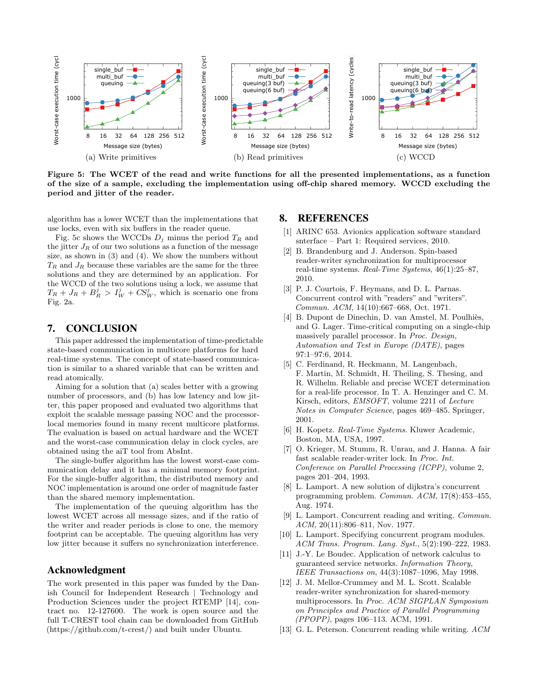

Figure 5: The WCET of the read and write functions for all the presented implementations, as a function of the size of a sample, excluding the implementation using off-chip shared memory. WCCD excluding the period and jitter of the reader.

algorithm has a lower WCET than the implementations that use locks, even with six buffers in the reader queue.

Fig. 5c shows the WCCDs  $D_j$  minus the period  $T_R$  and the jitter  $J_R$  of our two solutions as a function of the message size, as shown in (3) and (4). We show the numbers without  $T_R$  and  $J_R$  because these variables are the same for the three solutions and they are determined by an application. For the WCCD of the two solutions using a lock, we assume that  $T_R + J_R + B_R^j > I_W^j + CS_W^j$ , which is scenario one from Fig. 2a.

### 7. CONCLUSION

This paper addressed the implementation of time-predictable state-based communication in multicore platforms for hard real-time systems. The concept of state-based communication is similar to a shared variable that can be written and read atomically.

Aiming for a solution that (a) scales better with a growing number of processors, and (b) has low latency and low jitter, this paper proposed and evaluated two algorithms that exploit the scalable message passing NOC and the processorlocal memories found in many recent multicore platforms. The evaluation is based on actual hardware and the WCET and the worst-case communication delay in clock cycles, are obtained using the aiT tool from AbsInt.

The single-buffer algorithm has the lowest worst-case communication delay and it has a minimal memory footprint. For the single-buffer algorithm, the distributed memory and NOC implementation is around one order of magnitude faster than the shared memory implementation.

The implementation of the queuing algorithm has the lowest WCET across all message sizes, and if the ratio of the writer and reader periods is close to one, the memory footprint can be acceptable. The queuing algorithm has very low jitter because it suffers no synchronization interference.

### Acknowledgment

The work presented in this paper was funded by the Danish Council for Independent Research | Technology and Production Sciences under the project RTEMP [14], contract no. 12-127600. The work is open source and the full T-CREST tool chain can be downloaded from GitHub (https://github.com/t-crest/) and built under Ubuntu.

### 8. REFERENCES

- [1] ARINC 653. Avionics application software standard snterface – Part 1: Required services, 2010.
- [2] B. Brandenburg and J. Anderson. Spin-based reader-writer synchronization for multiprocessor real-time systems. Real-Time Systems, 46(1):25–87, 2010.
- [3] P. J. Courtois, F. Heymans, and D. L. Parnas. Concurrent control with "readers" and "writers". Commun. ACM, 14(10):667–668, Oct. 1971.
- [4] B. Dupont de Dinechin, D. van Amstel, M. Poulhiès, and G. Lager. Time-critical computing on a single-chip massively parallel processor. In Proc. Design, Automation and Test in Europe (DATE), pages 97:1–97:6, 2014.
- [5] C. Ferdinand, R. Heckmann, M. Langenbach, F. Martin, M. Schmidt, H. Theiling, S. Thesing, and R. Wilhelm. Reliable and precise WCET determination for a real-life processor. In T. A. Henzinger and C. M. Kirsch, editors, EMSOFT, volume 2211 of Lecture Notes in Computer Science, pages 469–485. Springer, 2001.
- [6] H. Kopetz. Real-Time Systems. Kluwer Academic, Boston, MA, USA, 1997.
- [7] O. Krieger, M. Stumm, R. Unrau, and J. Hanna. A fair fast scalable reader-writer lock. In Proc. Int. Conference on Parallel Processing (ICPP), volume 2, pages 201–204, 1993.
- [8] L. Lamport. A new solution of dijkstra's concurrent programming problem. Commun. ACM, 17(8):453–455, Aug. 1974.
- [9] L. Lamport. Concurrent reading and writing. Commun. ACM, 20(11):806-811, Nov. 1977.
- [10] L. Lamport. Specifying concurrent program modules. ACM Trans. Program. Lang. Syst., 5(2):190–222, 1983.
- [11] J.-Y. Le Boudec. Application of network calculus to guaranteed service networks. Information Theory, IEEE Transactions on, 44(3):1087–1096, May 1998.
- [12] J. M. Mellor-Crummey and M. L. Scott. Scalable reader-writer synchronization for shared-memory multiprocessors. In Proc. ACM SIGPLAN Symposium on Principles and Practice of Parallel Programming (PPOPP), pages 106–113. ACM, 1991.
- [13] G. L. Peterson. Concurrent reading while writing.  $ACM$